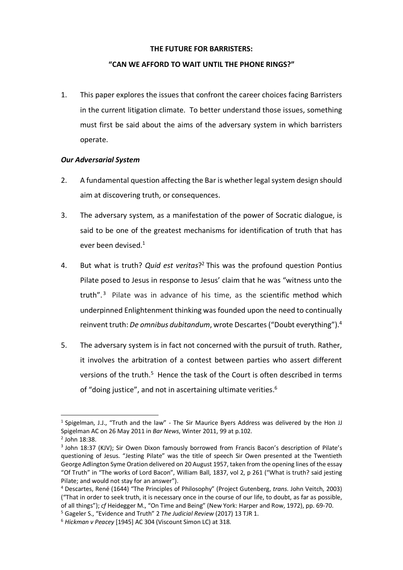### **THE FUTURE FOR BARRISTERS:**

## **"CAN WE AFFORD TO WAIT UNTIL THE PHONE RINGS?"**

1. This paper explores the issues that confront the career choices facing Barristers in the current litigation climate. To better understand those issues, something must first be said about the aims of the adversary system in which barristers operate.

# *Our Adversarial System*

- 2. A fundamental question affecting the Bar is whether legal system design should aim at discovering truth, or consequences.
- 3. The adversary system, as a manifestation of the power of Socratic dialogue, is said to be one of the greatest mechanisms for identification of truth that has ever been devised.<sup>1</sup>
- 4. But what is truth? *Quid est veritas*?2 This was the profound question Pontius Pilate posed to Jesus in response to Jesus' claim that he was "witness unto the truth". $3$  Pilate was in advance of his time, as the scientific method which underpinned Enlightenment thinking was founded upon the need to continually reinvent truth: *De omnibus dubitandum*, wrote Descartes ("Doubt everything").4
- 5. The adversary system is in fact not concerned with the pursuit of truth. Rather, it involves the arbitration of a contest between parties who assert different versions of the truth.<sup>5</sup> Hence the task of the Court is often described in terms of "doing justice", and not in ascertaining ultimate verities.<sup>6</sup>

<sup>1</sup> Spigelman, J.J., "Truth and the law" - The Sir Maurice Byers Address was delivered by the Hon JJ Spigelman AC on 26 May 2011 in *Bar News*, Winter 2011, 99 at p.102.

 $2$  John 18:38.

<sup>&</sup>lt;sup>3</sup> John 18:37 (KJV); Sir Owen Dixon famously borrowed from Francis Bacon's description of Pilate's questioning of Jesus. "Jesting Pilate" was the title of speech Sir Owen presented at the Twentieth George Adlington Syme Oration delivered on 20 August 1957, taken from the opening lines of the essay "Of Truth" in "The works of Lord Bacon", William Ball, 1837, vol 2, p 261 ("What is truth? said jesting Pilate; and would not stay for an answer").

<sup>4</sup> Descartes, René (1644) "The Principles of Philosophy" (Project Gutenberg, *trans.* John Veitch, 2003) ("That in order to seek truth, it is necessary once in the course of our life, to doubt, as far as possible, of all things"); *cf* Heidegger M., "On Time and Being" (New York: Harper and Row, 1972), pp. 69-70.

<sup>5</sup> Gageler S., "Evidence and Truth" 2 *The Judicial Review* (2017) 13 TJR 1.

<sup>6</sup> *Hickman v Peacey* [1945] AC 304 (Viscount Simon LC) at 318.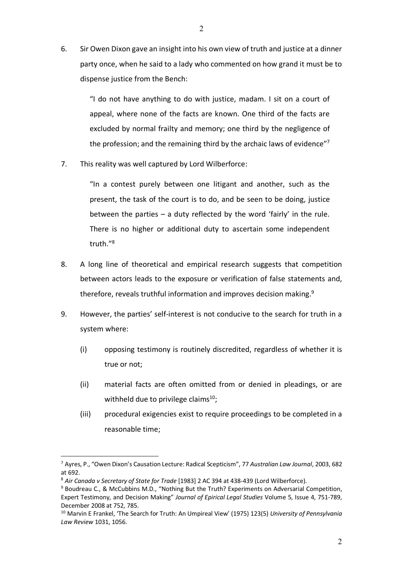6. Sir Owen Dixon gave an insight into his own view of truth and justice at a dinner party once, when he said to a lady who commented on how grand it must be to dispense justice from the Bench:

> "I do not have anything to do with justice, madam. I sit on a court of appeal, where none of the facts are known. One third of the facts are excluded by normal frailty and memory; one third by the negligence of the profession; and the remaining third by the archaic laws of evidence"7

7. This reality was well captured by Lord Wilberforce:

"In a contest purely between one litigant and another, such as the present, the task of the court is to do, and be seen to be doing, justice between the parties – a duty reflected by the word 'fairly' in the rule. There is no higher or additional duty to ascertain some independent truth."8

- 8. A long line of theoretical and empirical research suggests that competition between actors leads to the exposure or verification of false statements and, therefore, reveals truthful information and improves decision making.<sup>9</sup>
- 9. However, the parties' self-interest is not conducive to the search for truth in a system where:
	- (i) opposing testimony is routinely discredited, regardless of whether it is true or not;
	- (ii) material facts are often omitted from or denied in pleadings, or are withheld due to privilege claims $^{10}$ ;
	- (iii) procedural exigencies exist to require proceedings to be completed in a reasonable time;

<sup>7</sup> Ayres, P., "Owen Dixon's Causation Lecture: Radical Scepticism", 77 *Australian Law Journal*, 2003, 682 at 692.

<sup>&</sup>lt;sup>8</sup> Air Canada v Secretary of State for Trade [1983] 2 AC 394 at 438-439 (Lord Wilberforce).<br><sup>9</sup> Boudreau C., & McCubbins M.D., "Nothing But the Truth? Experiments on Adversarial Competition,

Expert Testimony, and Decision Making" *Journal of Epirical Legal Studies* Volume 5, Issue 4, 751-789, December 2008 at 752, 785.

<sup>10</sup> Marvin E Frankel, 'The Search for Truth: An Umpireal View' (1975) 123(5) *University of Pennsylvania Law Review* 1031, 1056.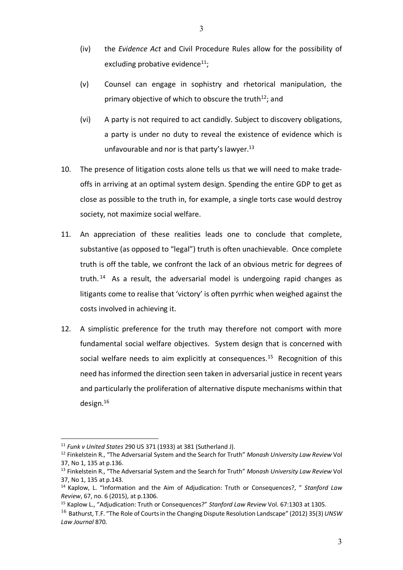- (iv) the *Evidence Act* and Civil Procedure Rules allow for the possibility of excluding probative evidence $11$ ;
- (v) Counsel can engage in sophistry and rhetorical manipulation, the primary objective of which to obscure the truth<sup>12</sup>; and
- (vi) A party is not required to act candidly. Subject to discovery obligations, a party is under no duty to reveal the existence of evidence which is unfavourable and nor is that party's lawyer.<sup>13</sup>
- 10. The presence of litigation costs alone tells us that we will need to make tradeoffs in arriving at an optimal system design. Spending the entire GDP to get as close as possible to the truth in, for example, a single torts case would destroy society, not maximize social welfare.
- 11. An appreciation of these realities leads one to conclude that complete, substantive (as opposed to "legal") truth is often unachievable. Once complete truth is off the table, we confront the lack of an obvious metric for degrees of truth. 14 As a result, the adversarial model is undergoing rapid changes as litigants come to realise that 'victory' is often pyrrhic when weighed against the costs involved in achieving it.
- 12. A simplistic preference for the truth may therefore not comport with more fundamental social welfare objectives. System design that is concerned with social welfare needs to aim explicitly at consequences.<sup>15</sup> Recognition of this need has informed the direction seen taken in adversarial justice in recent years and particularly the proliferation of alternative dispute mechanisms within that design.16

<sup>11</sup> *Funk v United States* 290 US 371 (1933) at 381 (Sutherland J).

<sup>12</sup> Finkelstein R., "The Adversarial System and the Search for Truth" *Monash University Law Review* Vol 37, No 1, 135 at p.136.

<sup>13</sup> Finkelstein R., "The Adversarial System and the Search for Truth" *Monash University Law Review* Vol 37, No 1, 135 at p.143.

<sup>14</sup> Kaplow, L. "Information and the Aim of Adjudication: Truth or Consequences?, " *Stanford Law Review*, 67, no. 6 (2015), at p.1306.

<sup>15</sup> Kaplow L., "Adjudication: Truth or Consequences?" *Stanford Law Review* Vol. 67:1303 at 1305.

<sup>16</sup> Bathurst, T.F. "The Role of Courts in the Changing Dispute Resolution Landscape" (2012) 35(3) *UNSW Law Journal* 870.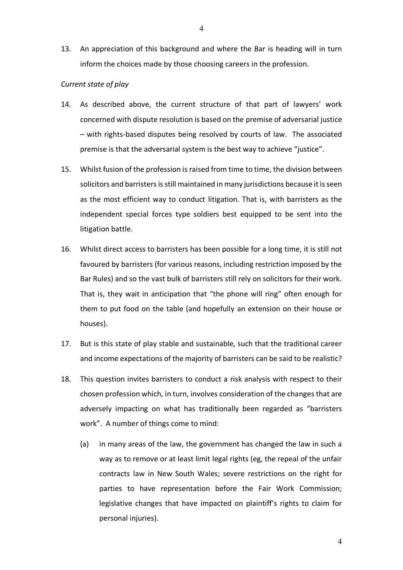13. An appreciation of this background and where the Bar is heading will in turn inform the choices made by those choosing careers in the profession.

# *Current state of play*

- 14. As described above, the current structure of that part of lawyers' work concerned with dispute resolution is based on the premise of adversarial justice – with rights-based disputes being resolved by courts of law. The associated premise is that the adversarial system is the best way to achieve "justice".
- 15. Whilst fusion of the profession is raised from time to time, the division between solicitors and barristers is still maintained in many jurisdictions because it is seen as the most efficient way to conduct litigation. That is, with barristers as the independent special forces type soldiers best equipped to be sent into the litigation battle.
- 16. Whilst direct access to barristers has been possible for a long time, it is still not favoured by barristers (for various reasons, including restriction imposed by the Bar Rules) and so the vast bulk of barristers still rely on solicitors for their work. That is, they wait in anticipation that "the phone will ring" often enough for them to put food on the table (and hopefully an extension on their house or houses).
- 17. But is this state of play stable and sustainable, such that the traditional career and income expectations of the majority of barristers can be said to be realistic?
- 18. This question invites barristers to conduct a risk analysis with respect to their chosen profession which, in turn, involves consideration of the changes that are adversely impacting on what has traditionally been regarded as "barristers work". A number of things come to mind:
	- (a) in many areas of the law, the government has changed the law in such a way as to remove or at least limit legal rights (eg, the repeal of the unfair contracts law in New South Wales; severe restrictions on the right for parties to have representation before the Fair Work Commission; legislative changes that have impacted on plaintiff's rights to claim for personal injuries).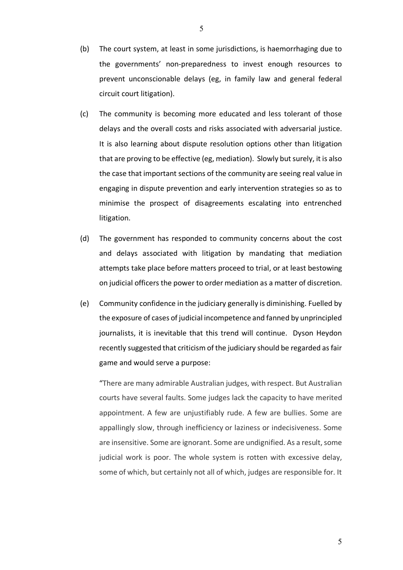- (b) The court system, at least in some jurisdictions, is haemorrhaging due to the governments' non-preparedness to invest enough resources to prevent unconscionable delays (eg, in family law and general federal circuit court litigation).
- (c) The community is becoming more educated and less tolerant of those delays and the overall costs and risks associated with adversarial justice. It is also learning about dispute resolution options other than litigation that are proving to be effective (eg, mediation). Slowly but surely, it is also the case that important sections of the community are seeing real value in engaging in dispute prevention and early intervention strategies so as to minimise the prospect of disagreements escalating into entrenched litigation.
- (d) The government has responded to community concerns about the cost and delays associated with litigation by mandating that mediation attempts take place before matters proceed to trial, or at least bestowing on judicial officers the power to order mediation as a matter of discretion.
- (e) Community confidence in the judiciary generally is diminishing. Fuelled by the exposure of cases of judicial incompetence and fanned by unprincipled journalists, it is inevitable that this trend will continue. Dyson Heydon recently suggested that criticism of the judiciary should be regarded as fair game and would serve a purpose:

"There are many admirable Australian judges, with respect. But Australian courts have several faults. Some judges lack the capacity to have merited appointment. A few are unjustifiably rude. A few are bullies. Some are appallingly slow, through inefficiency or laziness or indecisiveness. Some are insensitive. Some are ignorant. Some are undignified. As a result, some judicial work is poor. The whole system is rotten with excessive delay, some of which, but certainly not all of which, judges are responsible for. It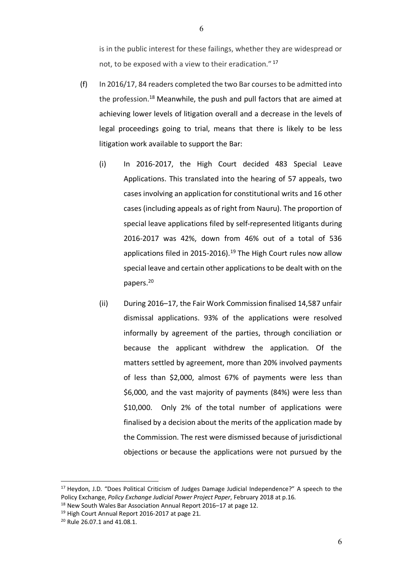is in the public interest for these failings, whether they are widespread or not, to be exposed with a view to their eradication." <sup>17</sup>

- (f) In 2016/17, 84 readers completed the two Bar courses to be admitted into the profession.<sup>18</sup> Meanwhile, the push and pull factors that are aimed at achieving lower levels of litigation overall and a decrease in the levels of legal proceedings going to trial, means that there is likely to be less litigation work available to support the Bar:
	- (i) In 2016-2017, the High Court decided 483 Special Leave Applications. This translated into the hearing of 57 appeals, two cases involving an application for constitutional writs and 16 other cases (including appeals as of right from Nauru). The proportion of special leave applications filed by self-represented litigants during 2016-2017 was 42%, down from 46% out of a total of 536 applications filed in 2015-2016).<sup>19</sup> The High Court rules now allow special leave and certain other applications to be dealt with on the papers.20
	- (ii) During 2016–17, the Fair Work Commission finalised 14,587 unfair dismissal applications. 93% of the applications were resolved informally by agreement of the parties, through conciliation or because the applicant withdrew the application. Of the matters settled by agreement, more than 20% involved payments of less than \$2,000, almost 67% of payments were less than \$6,000, and the vast majority of payments (84%) were less than \$10,000. Only 2% of the total number of applications were finalised by a decision about the merits of the application made by the Commission. The rest were dismissed because of jurisdictional objections or because the applications were not pursued by the

<sup>&</sup>lt;sup>17</sup> Heydon, J.D. "Does Political Criticism of Judges Damage Judicial Independence?" A speech to the Policy Exchange, *Policy Exchange Judicial Power Project Paper*, February 2018 at p.16.

<sup>&</sup>lt;sup>18</sup> New South Wales Bar Association Annual Report 2016–17 at page 12.

<sup>&</sup>lt;sup>19</sup> High Court Annual Report 2016-2017 at page 21.

<sup>20</sup> Rule 26.07.1 and 41.08.1.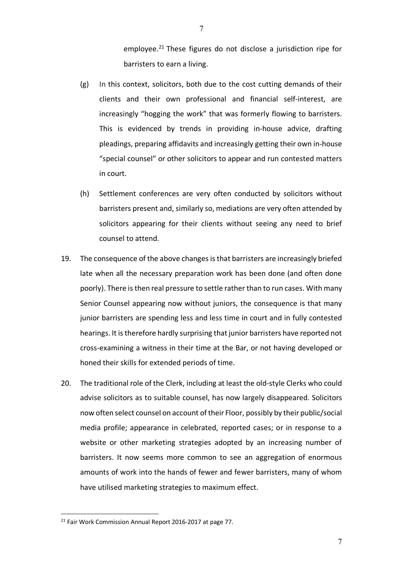employee.<sup>21</sup> These figures do not disclose a jurisdiction ripe for barristers to earn a living.

- (g) In this context, solicitors, both due to the cost cutting demands of their clients and their own professional and financial self-interest, are increasingly "hogging the work" that was formerly flowing to barristers. This is evidenced by trends in providing in-house advice, drafting pleadings, preparing affidavits and increasingly getting their own in-house "special counsel" or other solicitors to appear and run contested matters in court.
- (h) Settlement conferences are very often conducted by solicitors without barristers present and, similarly so, mediations are very often attended by solicitors appearing for their clients without seeing any need to brief counsel to attend.
- 19. The consequence of the above changes is that barristers are increasingly briefed late when all the necessary preparation work has been done (and often done poorly). There is then real pressure to settle rather than to run cases. With many Senior Counsel appearing now without juniors, the consequence is that many junior barristers are spending less and less time in court and in fully contested hearings. It is therefore hardly surprising that junior barristers have reported not cross-examining a witness in their time at the Bar, or not having developed or honed their skills for extended periods of time.
- 20. The traditional role of the Clerk, including at least the old-style Clerks who could advise solicitors as to suitable counsel, has now largely disappeared. Solicitors now often select counsel on account of their Floor, possibly by their public/social media profile; appearance in celebrated, reported cases; or in response to a website or other marketing strategies adopted by an increasing number of barristers. It now seems more common to see an aggregation of enormous amounts of work into the hands of fewer and fewer barristers, many of whom have utilised marketing strategies to maximum effect.

<sup>&</sup>lt;sup>21</sup> Fair Work Commission Annual Report 2016-2017 at page 77.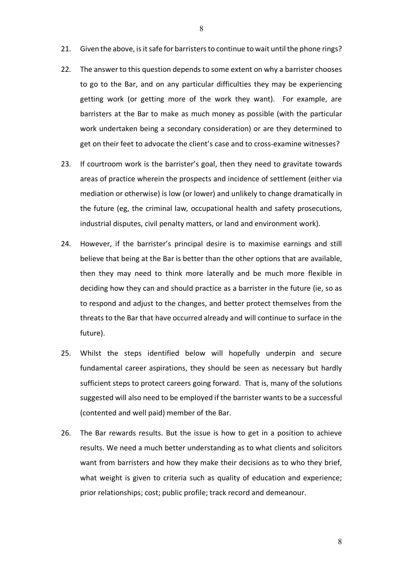- 21. Given the above, is it safe for barristers to continue to wait until the phone rings?
- 22. The answer to this question depends to some extent on why a barrister chooses to go to the Bar, and on any particular difficulties they may be experiencing getting work (or getting more of the work they want). For example, are barristers at the Bar to make as much money as possible (with the particular work undertaken being a secondary consideration) or are they determined to get on their feet to advocate the client's case and to cross-examine witnesses?
- 23. If courtroom work is the barrister's goal, then they need to gravitate towards areas of practice wherein the prospects and incidence of settlement (either via mediation or otherwise) is low (or lower) and unlikely to change dramatically in the future (eg, the criminal law, occupational health and safety prosecutions, industrial disputes, civil penalty matters, or land and environment work).
- 24. However, if the barrister's principal desire is to maximise earnings and still believe that being at the Bar is better than the other options that are available, then they may need to think more laterally and be much more flexible in deciding how they can and should practice as a barrister in the future (ie, so as to respond and adjust to the changes, and better protect themselves from the threats to the Bar that have occurred already and will continue to surface in the future).
- 25. Whilst the steps identified below will hopefully underpin and secure fundamental career aspirations, they should be seen as necessary but hardly sufficient steps to protect careers going forward. That is, many of the solutions suggested will also need to be employed if the barrister wantsto be a successful (contented and well paid) member of the Bar.
- 26. The Bar rewards results. But the issue is how to get in a position to achieve results. We need a much better understanding as to what clients and solicitors want from barristers and how they make their decisions as to who they brief, what weight is given to criteria such as quality of education and experience; prior relationships; cost; public profile; track record and demeanour.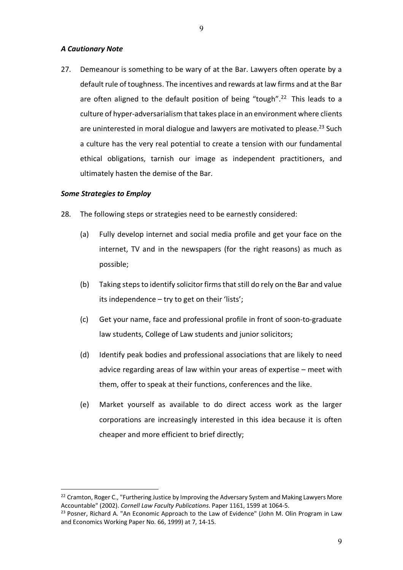#### *A Cautionary Note*

27. Demeanour is something to be wary of at the Bar. Lawyers often operate by a default rule of toughness. The incentives and rewards at law firms and at the Bar are often aligned to the default position of being "tough".<sup>22</sup> This leads to a culture of hyper-adversarialism that takes place in an environment where clients are uninterested in moral dialogue and lawyers are motivated to please.<sup>23</sup> Such a culture has the very real potential to create a tension with our fundamental ethical obligations, tarnish our image as independent practitioners, and ultimately hasten the demise of the Bar.

### *Some Strategies to Employ*

- 28. The following steps or strategies need to be earnestly considered:
	- (a) Fully develop internet and social media profile and get your face on the internet, TV and in the newspapers (for the right reasons) as much as possible;
	- (b) Taking steps to identify solicitor firms that still do rely on the Bar and value its independence – try to get on their 'lists';
	- (c) Get your name, face and professional profile in front of soon-to-graduate law students, College of Law students and junior solicitors;
	- (d) Identify peak bodies and professional associations that are likely to need advice regarding areas of law within your areas of expertise – meet with them, offer to speak at their functions, conferences and the like.
	- (e) Market yourself as available to do direct access work as the larger corporations are increasingly interested in this idea because it is often cheaper and more efficient to brief directly;

<sup>&</sup>lt;sup>22</sup> Cramton, Roger C., "Furthering Justice by Improving the Adversary System and Making Lawyers More Accountable" (2002). *Cornell Law Faculty Publications*. Paper 1161, 1599 at 1064-5.

<sup>&</sup>lt;sup>23</sup> Posner, Richard A. "An Economic Approach to the Law of Evidence" (John M. Olin Program in Law and Economics Working Paper No. 66, 1999) at 7, 14-15.